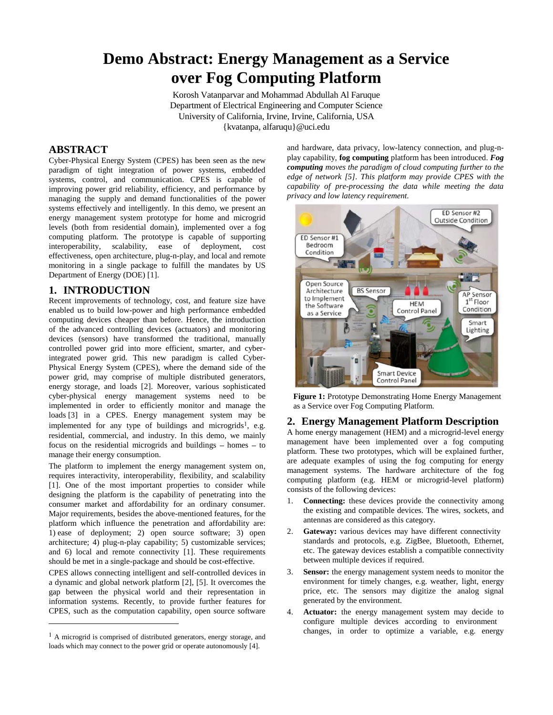# **Demo Abstract: Energy Management as a Service over Fog Computing Platform**

Korosh Vatanparvar and Mohammad Abdullah Al Faruque Department of Electrical Engineering and Computer Science University of California, Irvine, Irvine, California, USA {kvatanpa, alfaruqu}@uci.edu

## **ABSTRACT**

Cyber-Physical Energy System (CPES) has been seen as the new paradigm of tight integration of power systems, embedded systems, control, and communication. CPES is capable of improving power grid reliability, efficiency, and performance by managing the supply and demand functionalities of the power systems effectively and intelligently. In this demo, we present an energy management system prototype for home and microgrid levels (both from residential domain), implemented over a fog computing platform. The prototype is capable of supporting interoperability, scalability, ease of deployment, cost effectiveness, open architecture, plug-n-play, and local and remote monitoring in a single package to fulfill the mandates by US Department of Energy (DOE) [1].

## **1. INTRODUCTION**

Recent improvements of technology, cost, and feature size have enabled us to build low-power and high performance embedded computing devices cheaper than before. Hence, the introduction of the advanced controlling devices (actuators) and monitoring devices (sensors) have transformed the traditional, manually controlled power grid into more efficient, smarter, and cyberintegrated power grid. This new paradigm is called Cyber-Physical Energy System (CPES), where the demand side of the power grid, may comprise of multiple distributed generators, energy storage, and loads [2]. Moreover, various sophisticated cyber-physical energy management systems need to be implemented in order to efficiently monitor and manage the loads [3] in a CPES. Energy management system may be implemented for any type of buildings and microgrids<sup>1</sup>, e.g. residential, commercial, and industry. In this demo, we mainly focus on the residential microgrids and buildings  $-$  homes  $-$  to manage their energy consumption.

The platform to implement the energy management system on, requires interactivity, interoperability, flexibility, and scalability [1]. One of the most important properties to consider while designing the platform is the capability of penetrating into the consumer market and affordability for an ordinary consumer. Major requirements, besides the above-mentioned features, for the platform which influence the penetration and affordability are: 1) ease of deployment; 2) open source software; 3) open architecture; 4) plug-n-play capability; 5) customizable services; and 6) local and remote connectivity [1]. These requirements should be met in a single-package and should be cost-effective.

CPES allows connecting intelligent and self-controlled devices in a dynamic and global network platform [2], [5]. It overcomes the gap between the physical world and their representation in information systems. Recently, to provide further features for CPES, such as the computation capability, open source software

 $<sup>1</sup>$  A microgrid is comprised of distributed generators, energy storage, and</sup> loads which may connect to the power grid or operate autonomously [4].

 $\overline{a}$ 

and hardware, data privacy, low-latency connection, and plug-nplay capability, **fog computing** platform has been introduced. *Fog computing moves the paradigm of cloud computing further to the edge of network [5]. This platform may provide CPES with the capability of pre-processing the data while meeting the data privacy and low latency requirement.*



**Figure 1:** Prototype Demonstrating Home Energy Management as a Service over Fog Computing Platform.

## **2. Energy Management Platform Description**

A home energy management (HEM) and a microgrid-level energy management have been implemented over a fog computing platform. These two prototypes, which will be explained further, are adequate examples of using the fog computing for energy management systems. The hardware architecture of the fog computing platform (e.g. HEM or microgrid-level platform) consists of the following devices:

- 1. **Connecting:** these devices provide the connectivity among the existing and compatible devices. The wires, sockets, and antennas are considered as this category.
- 2. **Gateway:** various devices may have different connectivity standards and protocols, e.g. ZigBee, Bluetooth, Ethernet, etc. The gateway devices establish a compatible connectivity between multiple devices if required.
- 3. **Sensor:** the energy management system needs to monitor the environment for timely changes, e.g. weather, light, energy price, etc. The sensors may digitize the analog signal generated by the environment.
- 4. **Actuator:** the energy management system may decide to configure multiple devices according to environment changes, in order to optimize a variable, e.g. energy